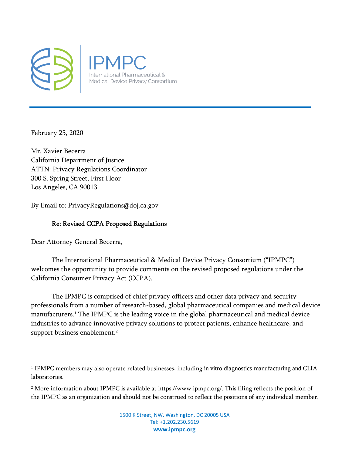

February 25, 2020

Mr. Xavier Becerra California Department of Justice ATTN: Privacy Regulations Coordinator 300 S. Spring Street, First Floor Los Angeles, CA 90013

By Email to: PrivacyRegulations@doj.ca.gov

## Re: Revised CCPA Proposed Regulations

Dear Attorney General Becerra,

The International Pharmaceutical & Medical Device Privacy Consortium ("IPMPC") welcomes the opportunity to provide comments on the revised proposed regulations under the California Consumer Privacy Act (CCPA).

The IPMPC is comprised of chief privacy officers and other data privacy and security professionals from a number of research-based, global pharmaceutical companies and medical device manufacturers.<sup>1</sup> The IPMPC is the leading voice in the global pharmaceutical and medical device industries to advance innovative privacy solutions to protect patients, enhance healthcare, and support business enablement.<sup>2</sup>

<sup>1</sup> IPMPC members may also operate related businesses, including in vitro diagnostics manufacturing and CLIA laboratories.

<sup>2</sup> More information about IPMPC is available at https://www.ipmpc.org/. This filing reflects the position of the IPMPC as an organization and should not be construed to reflect the positions of any individual member.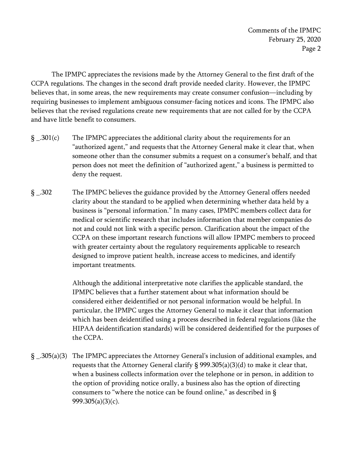Comments of the IPMPC February 25, 2020 Page 2

 The IPMPC appreciates the revisions made by the Attorney General to the first draft of the CCPA regulations. The changes in the second draft provide needed clarity. However, the IPMPC believes that, in some areas, the new requirements may create consumer confusion—including by requiring businesses to implement ambiguous consumer-facing notices and icons. The IPMPC also believes that the revised regulations create new requirements that are not called for by the CCPA and have little benefit to consumers.

- $\S$  \_.301(c) The IPMPC appreciates the additional clarity about the requirements for an "authorized agent," and requests that the Attorney General make it clear that, when someone other than the consumer submits a request on a consumer's behalf, and that person does not meet the definition of "authorized agent," a business is permitted to deny the request.
- § \_.302 The IPMPC believes the guidance provided by the Attorney General offers needed clarity about the standard to be applied when determining whether data held by a business is "personal information." In many cases, IPMPC members collect data for medical or scientific research that includes information that member companies do not and could not link with a specific person. Clarification about the impact of the CCPA on these important research functions will allow IPMPC members to proceed with greater certainty about the regulatory requirements applicable to research designed to improve patient health, increase access to medicines, and identify important treatments.

 Although the additional interpretative note clarifies the applicable standard, the IPMPC believes that a further statement about what information should be considered either deidentified or not personal information would be helpful. In particular, the IPMPC urges the Attorney General to make it clear that information which has been deidentified using a process described in federal regulations (like the HIPAA deidentification standards) will be considered deidentified for the purposes of the CCPA.

§ \_.305(a)(3) The IPMPC appreciates the Attorney General's inclusion of additional examples, and requests that the Attorney General clarify § 999.305(a)(3)(d) to make it clear that, when a business collects information over the telephone or in person, in addition to the option of providing notice orally, a business also has the option of directing consumers to "where the notice can be found online," as described in § 999.305(a)(3)(c).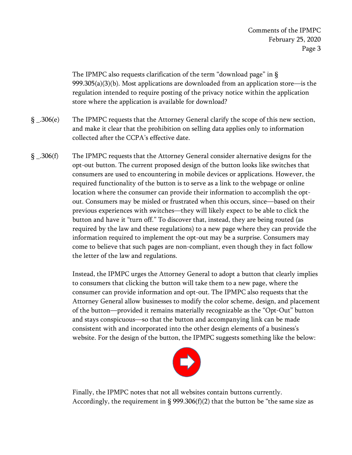The IPMPC also requests clarification of the term "download page" in §  $999.305(a)(3)(b)$ . Most applications are downloaded from an application store—is the regulation intended to require posting of the privacy notice within the application store where the application is available for download?

- § \_.306(e) The IPMPC requests that the Attorney General clarify the scope of this new section, and make it clear that the prohibition on selling data applies only to information collected after the CCPA's effective date.
- § \_.306(f) The IPMPC requests that the Attorney General consider alternative designs for the opt-out button. The current proposed design of the button looks like switches that consumers are used to encountering in mobile devices or applications. However, the required functionality of the button is to serve as a link to the webpage or online location where the consumer can provide their information to accomplish the optout. Consumers may be misled or frustrated when this occurs, since—based on their previous experiences with switches—they will likely expect to be able to click the button and have it "turn off." To discover that, instead, they are being routed (as required by the law and these regulations) to a new page where they can provide the information required to implement the opt-out may be a surprise. Consumers may come to believe that such pages are non-compliant, even though they in fact follow the letter of the law and regulations.

 Instead, the IPMPC urges the Attorney General to adopt a button that clearly implies to consumers that clicking the button will take them to a new page, where the consumer can provide information and opt-out. The IPMPC also requests that the Attorney General allow businesses to modify the color scheme, design, and placement of the button—provided it remains materially recognizable as the "Opt-Out" button and stays conspicuous—so that the button and accompanying link can be made consistent with and incorporated into the other design elements of a business's website. For the design of the button, the IPMPC suggests something like the below:



 Finally, the IPMPC notes that not all websites contain buttons currently. Accordingly, the requirement in  $\S$  999.306(f)(2) that the button be "the same size as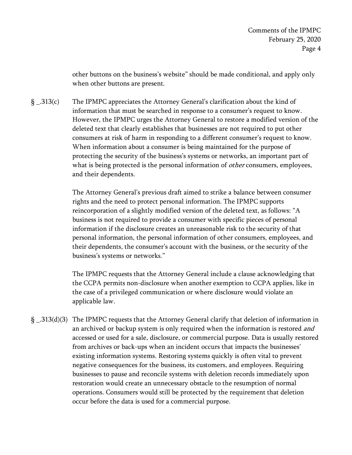other buttons on the business's website" should be made conditional, and apply only when other buttons are present.

§ \_.313(c) The IPMPC appreciates the Attorney General's clarification about the kind of information that must be searched in response to a consumer's request to know. However, the IPMPC urges the Attorney General to restore a modified version of the deleted text that clearly establishes that businesses are not required to put other consumers at risk of harm in responding to a different consumer's request to know. When information about a consumer is being maintained for the purpose of protecting the security of the business's systems or networks, an important part of what is being protected is the personal information of *other* consumers, employees, and their dependents.

> The Attorney General's previous draft aimed to strike a balance between consumer rights and the need to protect personal information. The IPMPC supports reincorporation of a slightly modified version of the deleted text, as follows: "A business is not required to provide a consumer with specific pieces of personal information if the disclosure creates an unreasonable risk to the security of that personal information, the personal information of other consumers, employees, and their dependents, the consumer's account with the business, or the security of the business's systems or networks."

> The IPMPC requests that the Attorney General include a clause acknowledging that the CCPA permits non-disclosure when another exemption to CCPA applies, like in the case of a privileged communication or where disclosure would violate an applicable law.

§ \_.313(d)(3) The IPMPC requests that the Attorney General clarify that deletion of information in an archived or backup system is only required when the information is restored *and* accessed or used for a sale, disclosure, or commercial purpose. Data is usually restored from archives or back-ups when an incident occurs that impacts the businesses' existing information systems. Restoring systems quickly is often vital to prevent negative consequences for the business, its customers, and employees. Requiring businesses to pause and reconcile systems with deletion records immediately upon restoration would create an unnecessary obstacle to the resumption of normal operations. Consumers would still be protected by the requirement that deletion occur before the data is used for a commercial purpose.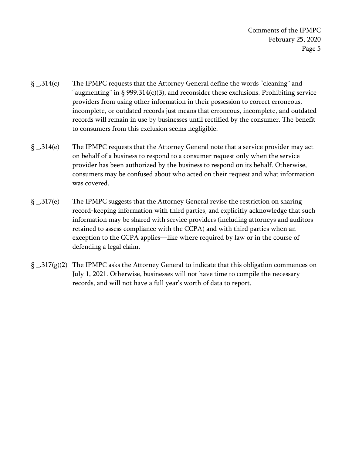Comments of the IPMPC February 25, 2020 Page 5

- § \_.314(c) The IPMPC requests that the Attorney General define the words "cleaning" and "augmenting" in  $\S 999.314(c)(3)$ , and reconsider these exclusions. Prohibiting service providers from using other information in their possession to correct erroneous, incomplete, or outdated records just means that erroneous, incomplete, and outdated records will remain in use by businesses until rectified by the consumer. The benefit to consumers from this exclusion seems negligible.
- § \_.314(e) The IPMPC requests that the Attorney General note that a service provider may act on behalf of a business to respond to a consumer request only when the service provider has been authorized by the business to respond on its behalf. Otherwise, consumers may be confused about who acted on their request and what information was covered.
- § \_.317(e) The IPMPC suggests that the Attorney General revise the restriction on sharing record-keeping information with third parties, and explicitly acknowledge that such information may be shared with service providers (including attorneys and auditors retained to assess compliance with the CCPA) and with third parties when an exception to the CCPA applies—like where required by law or in the course of defending a legal claim.
- $\S$  \_.317(g)(2) The IPMPC asks the Attorney General to indicate that this obligation commences on July 1, 2021. Otherwise, businesses will not have time to compile the necessary records, and will not have a full year's worth of data to report.